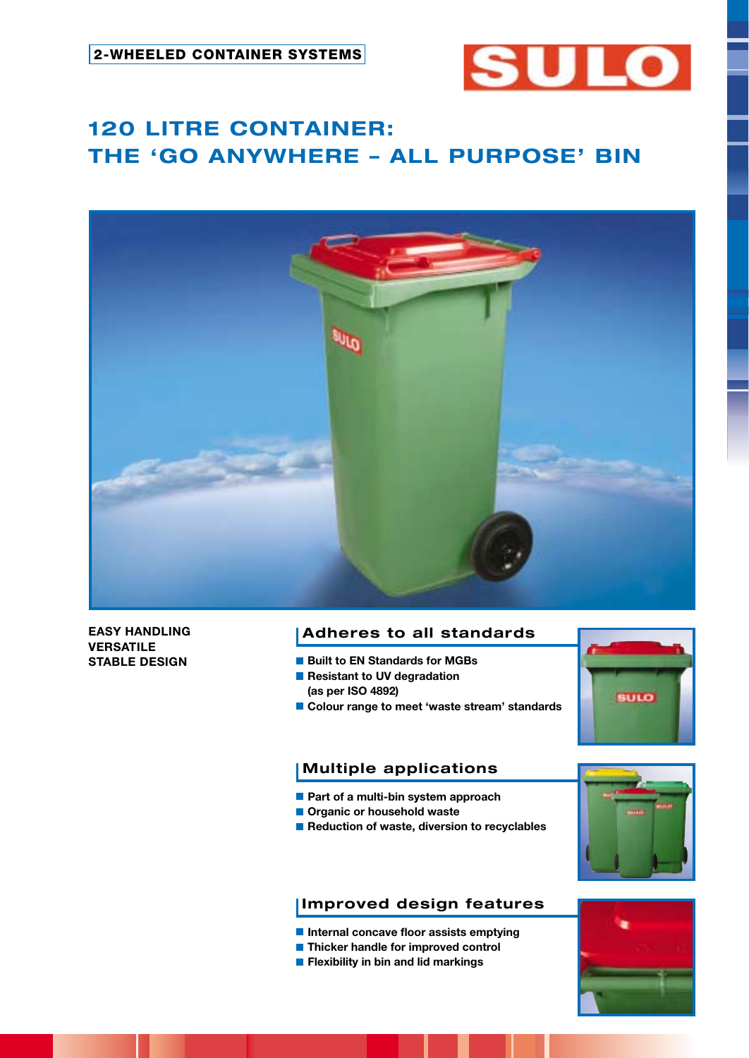

# **120 LITRE CONTAINER: THE 'GO ANYWHERE – ALL PURPOSE' BIN**



**EASY HANDLING VERSATILE STABLE DESIGN**

# **Adheres to all standards**

- **Built to EN Standards for MGBs**
- **Resistant to UV degradation**
- **(as per ISO 4892)**
- Colour range to meet 'waste stream' standards



# **Multiple applications**

- **Part of a multi-bin system approach**
- $\blacksquare$  Organic or household waste
- Reduction of waste, diversion to recyclables



# **Improved design features**

- **Internal concave floor assists emptying**
- **Thicker handle for improved control**
- **Flexibility in bin and lid markings**